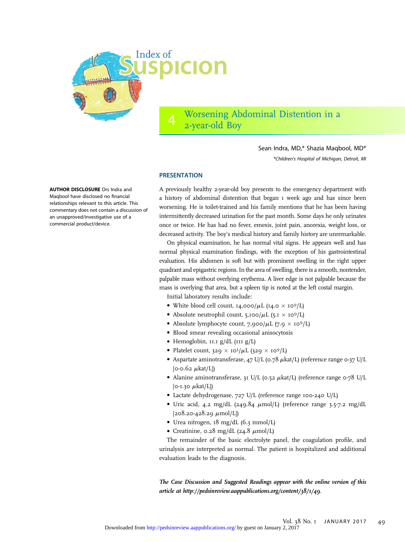

4 Worsening Abdominal Distention in a 2-year-old Boy

> Sean Indra, MD,\* Shazia Maqbool, MD\* \*Children's Hospital of Michigan, Detroit, MI

#### **PRESENTATION**

A previously healthy 2-year-old boy presents to the emergency department with a history of abdominal distention that began 1 week ago and has since been worsening. He is toilet-trained and his family mentions that he has been having intermittently decreased urination for the past month. Some days he only urinates once or twice. He has had no fever, emesis, joint pain, anorexia, weight loss, or decreased activity. The boy's medical history and family history are unremarkable.

On physical examination, he has normal vital signs. He appears well and has normal physical examination findings, with the exception of his gastrointestinal evaluation. His abdomen is soft but with prominent swelling in the right upper quadrant and epigastric regions. In the area of swelling, there is a smooth, nontender, palpable mass without overlying erythema. A liver edge is not palpable because the mass is overlying that area, but a spleen tip is noted at the left costal margin.

Initial laboratory results include:

- White blood cell count,  $I4,000/\mu L$  ( $I4.0 \times 10^9/L$ )
- Absolute neutrophil count,  $5,100/\mu L$  ( $5.1 \times 10^9/L$ )
- Absolute lymphocyte count, 7,900/ $\mu$ L (7.9  $\times$  10<sup>9</sup>/L)
- Blood smear revealing occasional anisocytosis
- Hemoglobin, 11.1 g/dL (111 g/L)
- Platelet count, 329  $\times$  10<sup>3</sup>/ $\mu$ L (329  $\times$  10<sup>9</sup>/L)
- Aspartate aminotransferase, 47 U/L (0.78  $\mu$ kat/L) (reference range 0-37 U/L [0-0.62  $\mu$ kat/L])
- Alanine aminotransferase, 31 U/L (0.52  $\mu$ kat/L) (reference range 0-78 U/L  $[0-1.30 \mu \text{kat/L}]$
- Lactate dehydrogenase, 727 U/L (reference range 100-240 U/L)
- Uric acid, 4.2 mg/dL (249.84  $\mu$ mol/L) (reference range 3.5-7.2 mg/dL  $[208.20 - 428.29 \mu mol/L]$
- Urea nitrogen, 18 mg/dL (6.3 mmol/L)
- Creatinine,  $0.28 \text{ mg/dL}$  ( $24.8 \text{ µmol/L}$ )

The remainder of the basic electrolyte panel, the coagulation profile, and urinalysis are interpreted as normal. The patient is hospitalized and additional evaluation leads to the diagnosis.

The Case Discussion and Suggested Readings appear with the online version of this article at<http://pedsinreview.aappublications.org/content/38/1/49>.

AUTHOR DISCLOSURE Drs Indra and Maqbool have disclosed no financial relationships relevant to this article. This commentary does not contain a discussion of an unapproved/investigative use of a commercial product/device.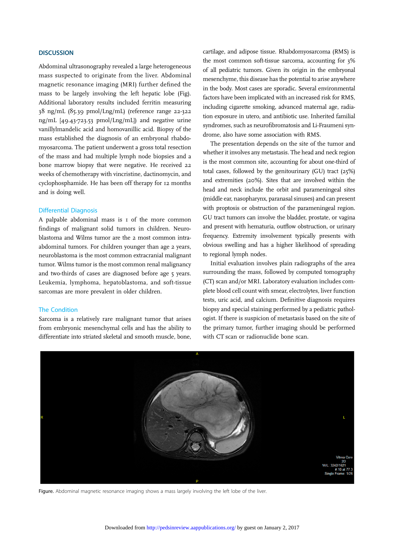## **DISCUSSION**

Abdominal ultrasonography revealed a large heterogeneous mass suspected to originate from the liver. Abdominal magnetic resonance imaging (MRI) further defined the mass to be largely involving the left hepatic lobe (Fig). Additional laboratory results included ferritin measuring 38 ng/mL (85.39 pmol/Lng/mL) (reference range 22-322 ng/mL [49.43-723.53 pmol/Lng/mL]) and negative urine vanillylmandelic acid and homovanillic acid. Biopsy of the mass established the diagnosis of an embryonal rhabdomyosarcoma. The patient underwent a gross total resection of the mass and had multiple lymph node biopsies and a bone marrow biopsy that were negative. He received 22 weeks of chemotherapy with vincristine, dactinomycin, and cyclophosphamide. He has been off therapy for 12 months and is doing well.

#### Differential Diagnosis

A palpable abdominal mass is 1 of the more common findings of malignant solid tumors in children. Neuroblastoma and Wilms tumor are the 2 most common intraabdominal tumors. For children younger than age 2 years, neuroblastoma is the most common extracranial malignant tumor. Wilms tumor is the most common renal malignancy and two-thirds of cases are diagnosed before age 5 years. Leukemia, lymphoma, hepatoblastoma, and soft-tissue sarcomas are more prevalent in older children.

## The Condition

Sarcoma is a relatively rare malignant tumor that arises from embryonic mesenchymal cells and has the ability to differentiate into striated skeletal and smooth muscle, bone, cartilage, and adipose tissue. Rhabdomyosarcoma (RMS) is the most common soft-tissue sarcoma, accounting for 3% of all pediatric tumors. Given its origin in the embryonal mesenchyme, this disease has the potential to arise anywhere in the body. Most cases are sporadic. Several environmental factors have been implicated with an increased risk for RMS, including cigarette smoking, advanced maternal age, radiation exposure in utero, and antibiotic use. Inherited familial syndromes, such as neurofibromatosis and Li-Fraumeni syndrome, also have some association with RMS.

The presentation depends on the site of the tumor and whether it involves any metastasis. The head and neck region is the most common site, accounting for about one-third of total cases, followed by the genitourinary (GU) tract (25%) and extremities (20%). Sites that are involved within the head and neck include the orbit and parameningeal sites (middle ear, nasopharynx, paranasal sinuses) and can present with proptosis or obstruction of the parameningeal region. GU tract tumors can involve the bladder, prostate, or vagina and present with hematuria, outflow obstruction, or urinary frequency. Extremity involvement typically presents with obvious swelling and has a higher likelihood of spreading to regional lymph nodes.

Initial evaluation involves plain radiographs of the area surrounding the mass, followed by computed tomography (CT) scan and/or MRI. Laboratory evaluation includes complete blood cell count with smear, electrolytes, liver function tests, uric acid, and calcium. Definitive diagnosis requires biopsy and special staining performed by a pediatric pathologist. If there is suspicion of metastasis based on the site of the primary tumor, further imaging should be performed with CT scan or radionuclide bone scan.



Figure. Abdominal magnetic resonance imaging shows a mass largely involving the left lobe of the liver.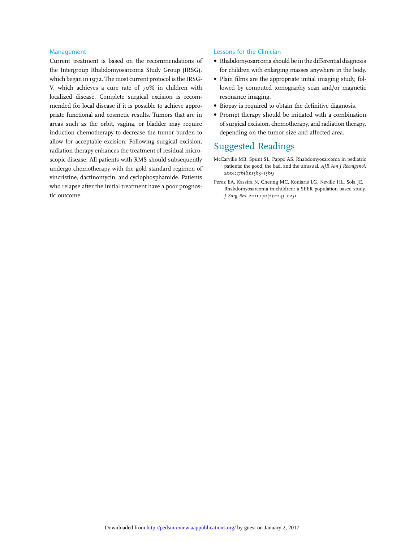#### Management

Current treatment is based on the recommendations of the Intergroup Rhabdomyosarcoma Study Group (IRSG), which began in 1972. The most current protocol is the IRSG-V, which achieves a cure rate of 70% in children with localized disease. Complete surgical excision is recommended for local disease if it is possible to achieve appropriate functional and cosmetic results. Tumors that are in areas such as the orbit, vagina, or bladder may require induction chemotherapy to decrease the tumor burden to allow for acceptable excision. Following surgical excision, radiation therapy enhances the treatment of residual microscopic disease. All patients with RMS should subsequently undergo chemotherapy with the gold standard regimen of vincristine, dactinomycin, and cyclophosphamide. Patients who relapse after the initial treatment have a poor prognostic outcome.

#### Lessons for the Clinician

- Rhabdomyosarcoma should be in the differential diagnosis for children with enlarging masses anywhere in the body.
- Plain films are the appropriate initial imaging study, followed by computed tomography scan and/or magnetic resonance imaging.
- Biopsy is required to obtain the definitive diagnosis.
- Prompt therapy should be initiated with a combination of surgical excision, chemotherapy, and radiation therapy, depending on the tumor size and affected area.

# Suggested Readings

- McCarville MB, Spunt SL, Pappo AS. Rhabdomyosarcoma in pediatric patients: the good, the bad, and the unusual. AJR Am J Roentgenol. 2001;176(6):1563–1569
- Perez EA, Kassira N, Cheung MC, Koniaris LG, Neville HL, Sola JE. Rhabdomyosarcoma in children: a SEER population based study. J Surg Res. 2011;170(2):e243–e251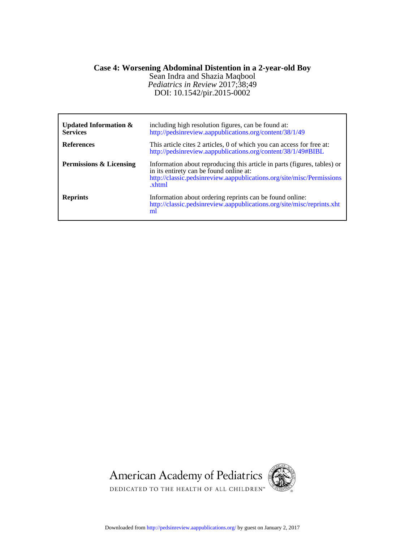# **Case 4: Worsening Abdominal Distention in a 2-year-old Boy**

DOI: 10.1542/pir.2015-0002 *Pediatrics in Review* 2017;38;49 Sean Indra and Shazia Maqbool

| Updated Information $\&$<br><b>Services</b> | including high resolution figures, can be found at:<br>http://pedsinreview.aappublications.org/content/38/1/49                                                                                        |
|---------------------------------------------|-------------------------------------------------------------------------------------------------------------------------------------------------------------------------------------------------------|
| <b>References</b>                           | This article cites 2 articles, 0 of which you can access for free at:<br>http://pedsinreview.aappublications.org/content/38/1/49#BIBL                                                                 |
| Permissions & Licensing                     | Information about reproducing this article in parts (figures, tables) or<br>in its entirety can be found online at:<br>http://classic.pedsinreview.aappublications.org/site/misc/Permissions<br>xhtml |
| <b>Reprints</b>                             | Information about ordering reprints can be found online:<br>http://classic.pedsinreview.aappublications.org/site/misc/reprints.xht<br>ml                                                              |